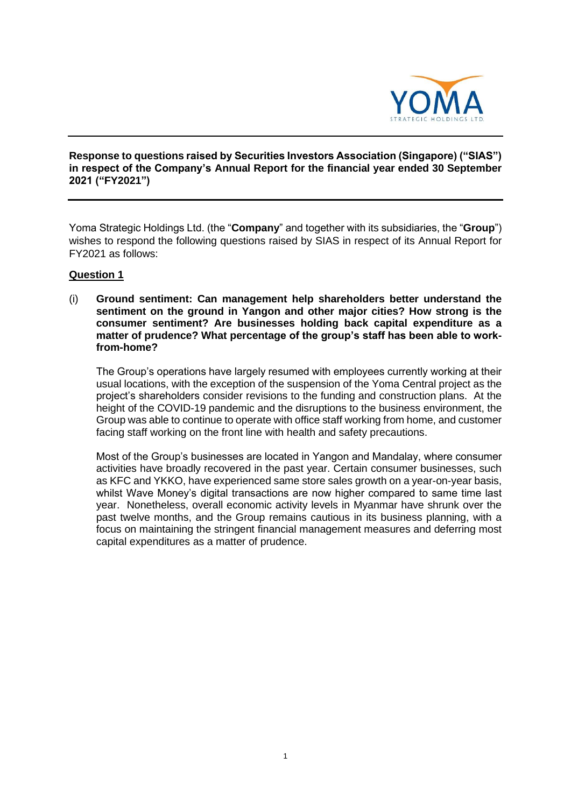

# **Response to questions raised by Securities Investors Association (Singapore) ("SIAS") in respect of the Company's Annual Report for the financial year ended 30 September 2021 ("FY2021")**

Yoma Strategic Holdings Ltd. (the "**Company**" and together with its subsidiaries, the "**Group**") wishes to respond the following questions raised by SIAS in respect of its Annual Report for FY2021 as follows:

# **Question 1**

(i) **Ground sentiment: Can management help shareholders better understand the sentiment on the ground in Yangon and other major cities? How strong is the consumer sentiment? Are businesses holding back capital expenditure as a matter of prudence? What percentage of the group's staff has been able to workfrom-home?** 

The Group's operations have largely resumed with employees currently working at their usual locations, with the exception of the suspension of the Yoma Central project as the project's shareholders consider revisions to the funding and construction plans. At the height of the COVID-19 pandemic and the disruptions to the business environment, the Group was able to continue to operate with office staff working from home, and customer facing staff working on the front line with health and safety precautions.

Most of the Group's businesses are located in Yangon and Mandalay, where consumer activities have broadly recovered in the past year. Certain consumer businesses, such as KFC and YKKO, have experienced same store sales growth on a year-on-year basis, whilst Wave Money's digital transactions are now higher compared to same time last year. Nonetheless, overall economic activity levels in Myanmar have shrunk over the past twelve months, and the Group remains cautious in its business planning, with a focus on maintaining the stringent financial management measures and deferring most capital expenditures as a matter of prudence.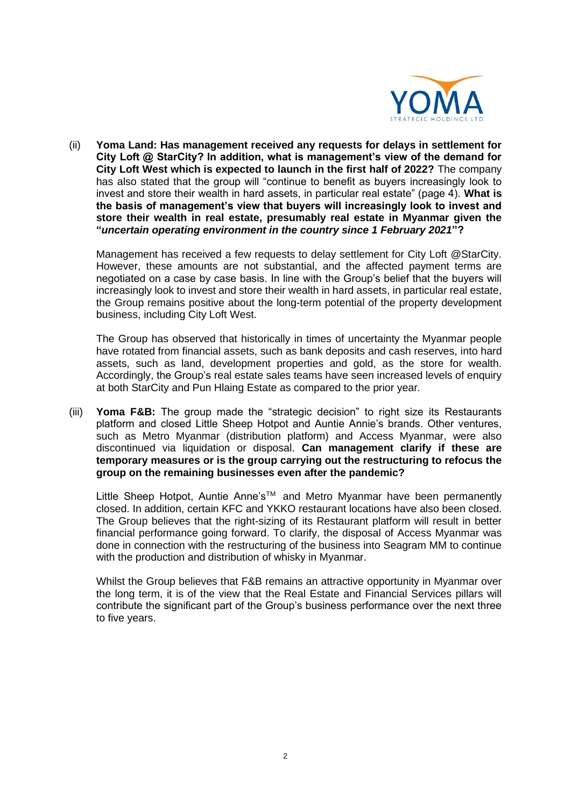

(ii) **Yoma Land: Has management received any requests for delays in settlement for City Loft @ StarCity? In addition, what is management's view of the demand for City Loft West which is expected to launch in the first half of 2022?** The company has also stated that the group will "continue to benefit as buyers increasingly look to invest and store their wealth in hard assets, in particular real estate" (page 4). **What is the basis of management's view that buyers will increasingly look to invest and store their wealth in real estate, presumably real estate in Myanmar given the "***uncertain operating environment in the country since 1 February 2021***"?** 

Management has received a few requests to delay settlement for City Loft @StarCity. However, these amounts are not substantial, and the affected payment terms are negotiated on a case by case basis. In line with the Group's belief that the buyers will increasingly look to invest and store their wealth in hard assets, in particular real estate, the Group remains positive about the long-term potential of the property development business, including City Loft West.

The Group has observed that historically in times of uncertainty the Myanmar people have rotated from financial assets, such as bank deposits and cash reserves, into hard assets, such as land, development properties and gold, as the store for wealth. Accordingly, the Group's real estate sales teams have seen increased levels of enquiry at both StarCity and Pun Hlaing Estate as compared to the prior year.

(iii) **Yoma F&B:** The group made the "strategic decision" to right size its Restaurants platform and closed Little Sheep Hotpot and Auntie Annie's brands. Other ventures, such as Metro Myanmar (distribution platform) and Access Myanmar, were also discontinued via liquidation or disposal. **Can management clarify if these are temporary measures or is the group carrying out the restructuring to refocus the group on the remaining businesses even after the pandemic?** 

Little Sheep Hotpot, Auntie Anne's™ and Metro Myanmar have been permanently closed. In addition, certain KFC and YKKO restaurant locations have also been closed. The Group believes that the right-sizing of its Restaurant platform will result in better financial performance going forward. To clarify, the disposal of Access Myanmar was done in connection with the restructuring of the business into Seagram MM to continue with the production and distribution of whisky in Myanmar.

Whilst the Group believes that F&B remains an attractive opportunity in Myanmar over the long term, it is of the view that the Real Estate and Financial Services pillars will contribute the significant part of the Group's business performance over the next three to five years.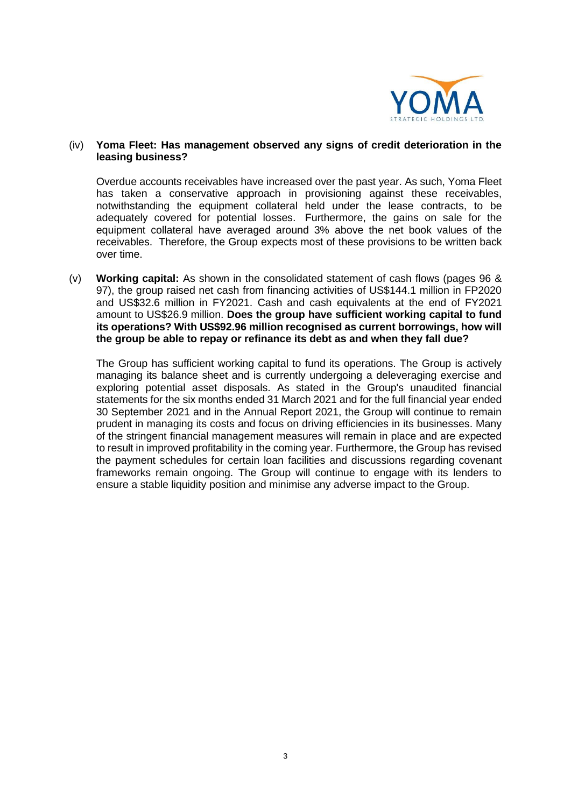

### (iv) **Yoma Fleet: Has management observed any signs of credit deterioration in the leasing business?**

Overdue accounts receivables have increased over the past year. As such, Yoma Fleet has taken a conservative approach in provisioning against these receivables, notwithstanding the equipment collateral held under the lease contracts, to be adequately covered for potential losses. Furthermore, the gains on sale for the equipment collateral have averaged around 3% above the net book values of the receivables. Therefore, the Group expects most of these provisions to be written back over time.

(v) **Working capital:** As shown in the consolidated statement of cash flows (pages 96 & 97), the group raised net cash from financing activities of US\$144.1 million in FP2020 and US\$32.6 million in FY2021. Cash and cash equivalents at the end of FY2021 amount to US\$26.9 million. **Does the group have sufficient working capital to fund its operations? With US\$92.96 million recognised as current borrowings, how will the group be able to repay or refinance its debt as and when they fall due?** 

The Group has sufficient working capital to fund its operations. The Group is actively managing its balance sheet and is currently undergoing a deleveraging exercise and exploring potential asset disposals. As stated in the Group's unaudited financial statements for the six months ended 31 March 2021 and for the full financial year ended 30 September 2021 and in the Annual Report 2021, the Group will continue to remain prudent in managing its costs and focus on driving efficiencies in its businesses. Many of the stringent financial management measures will remain in place and are expected to result in improved profitability in the coming year. Furthermore, the Group has revised the payment schedules for certain loan facilities and discussions regarding covenant frameworks remain ongoing. The Group will continue to engage with its lenders to ensure a stable liquidity position and minimise any adverse impact to the Group.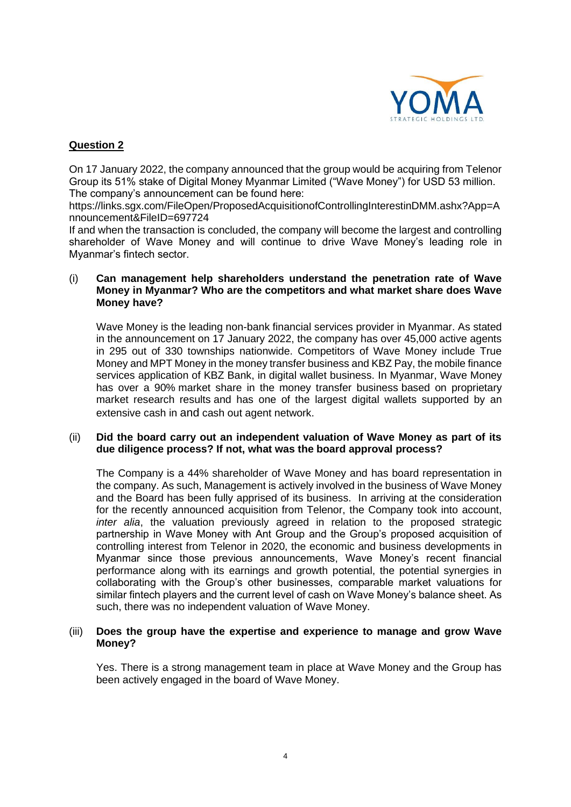

# **Question 2**

On 17 January 2022, the company announced that the group would be acquiring from Telenor Group its 51% stake of Digital Money Myanmar Limited ("Wave Money") for USD 53 million. The company's announcement can be found here:

https://links.sgx.com/FileOpen/ProposedAcquisitionofControllingInterestinDMM.ashx?App=A nnouncement&FileID=697724

If and when the transaction is concluded, the company will become the largest and controlling shareholder of Wave Money and will continue to drive Wave Money's leading role in Myanmar's fintech sector.

### (i) **Can management help shareholders understand the penetration rate of Wave Money in Myanmar? Who are the competitors and what market share does Wave Money have?**

Wave Money is the leading non-bank financial services provider in Myanmar. As stated in the announcement on 17 January 2022, the company has over 45,000 active agents in 295 out of 330 townships nationwide. Competitors of Wave Money include True Money and MPT Money in the money transfer business and KBZ Pay, the mobile finance services application of KBZ Bank, in digital wallet business. In Myanmar, Wave Money has over a 90% market share in the money transfer business based on proprietary market research results and has one of the largest digital wallets supported by an extensive cash in and cash out agent network.

### (ii) **Did the board carry out an independent valuation of Wave Money as part of its due diligence process? If not, what was the board approval process?**

The Company is a 44% shareholder of Wave Money and has board representation in the company. As such, Management is actively involved in the business of Wave Money and the Board has been fully apprised of its business. In arriving at the consideration for the recently announced acquisition from Telenor, the Company took into account, *inter alia*, the valuation previously agreed in relation to the proposed strategic partnership in Wave Money with Ant Group and the Group's proposed acquisition of controlling interest from Telenor in 2020, the economic and business developments in Myanmar since those previous announcements, Wave Money's recent financial performance along with its earnings and growth potential, the potential synergies in collaborating with the Group's other businesses, comparable market valuations for similar fintech players and the current level of cash on Wave Money's balance sheet. As such, there was no independent valuation of Wave Money.

### (iii) **Does the group have the expertise and experience to manage and grow Wave Money?**

Yes. There is a strong management team in place at Wave Money and the Group has been actively engaged in the board of Wave Money.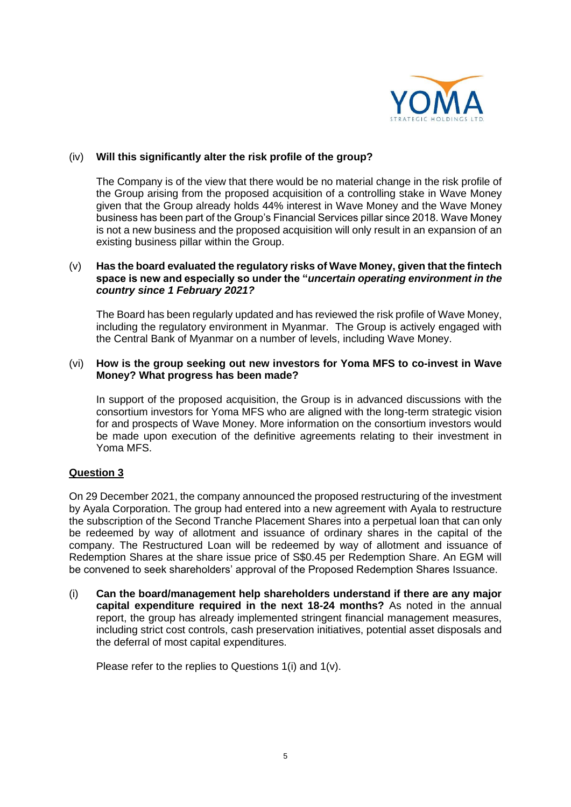

### (iv) **Will this significantly alter the risk profile of the group?**

The Company is of the view that there would be no material change in the risk profile of the Group arising from the proposed acquisition of a controlling stake in Wave Money given that the Group already holds 44% interest in Wave Money and the Wave Money business has been part of the Group's Financial Services pillar since 2018. Wave Money is not a new business and the proposed acquisition will only result in an expansion of an existing business pillar within the Group.

### (v) **Has the board evaluated the regulatory risks of Wave Money, given that the fintech space is new and especially so under the "***uncertain operating environment in the country since 1 February 2021?*

The Board has been regularly updated and has reviewed the risk profile of Wave Money, including the regulatory environment in Myanmar. The Group is actively engaged with the Central Bank of Myanmar on a number of levels, including Wave Money.

#### (vi) **How is the group seeking out new investors for Yoma MFS to co-invest in Wave Money? What progress has been made?**

In support of the proposed acquisition, the Group is in advanced discussions with the consortium investors for Yoma MFS who are aligned with the long-term strategic vision for and prospects of Wave Money. More information on the consortium investors would be made upon execution of the definitive agreements relating to their investment in Yoma MFS.

# **Question 3**

On 29 December 2021, the company announced the proposed restructuring of the investment by Ayala Corporation. The group had entered into a new agreement with Ayala to restructure the subscription of the Second Tranche Placement Shares into a perpetual loan that can only be redeemed by way of allotment and issuance of ordinary shares in the capital of the company. The Restructured Loan will be redeemed by way of allotment and issuance of Redemption Shares at the share issue price of S\$0.45 per Redemption Share. An EGM will be convened to seek shareholders' approval of the Proposed Redemption Shares Issuance.

(i) **Can the board/management help shareholders understand if there are any major capital expenditure required in the next 18-24 months?** As noted in the annual report, the group has already implemented stringent financial management measures, including strict cost controls, cash preservation initiatives, potential asset disposals and the deferral of most capital expenditures.

Please refer to the replies to Questions 1(i) and 1(v).